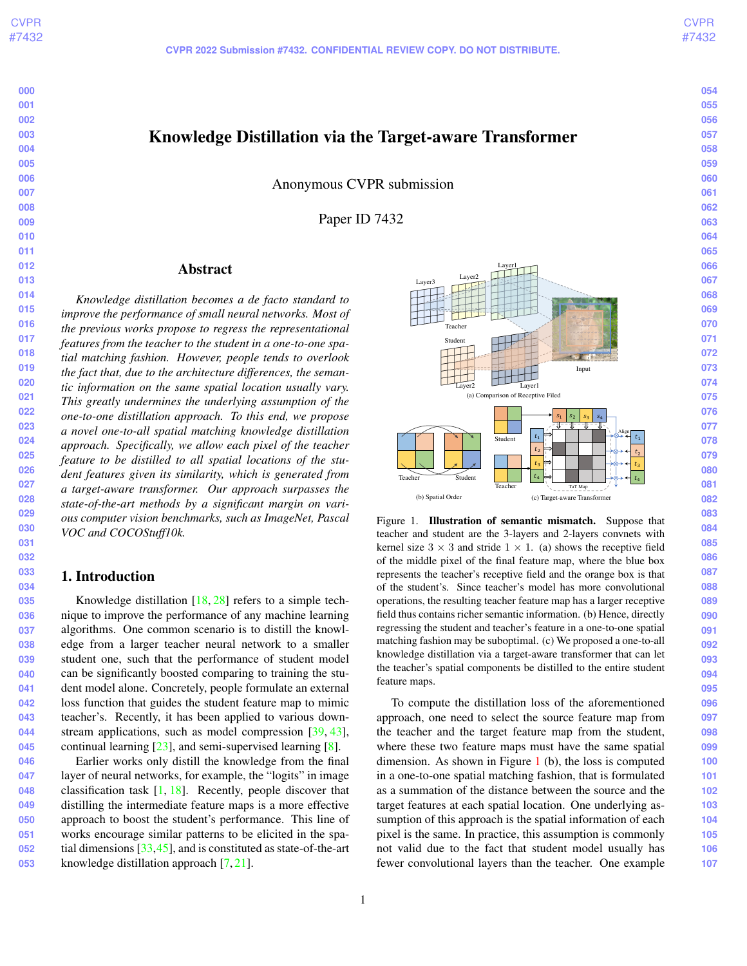<span id="page-0-1"></span>Knowledge Distillation via the Target-aware Transformer

Anonymous CVPR submission

Paper ID 7432

# Abstract

*Knowledge distillation becomes a de facto standard to improve the performance of small neural networks. Most of the previous works propose to regress the representational features from the teacher to the student in a one-to-one spatial matching fashion. However, people tends to overlook the fact that, due to the architecture differences, the semantic information on the same spatial location usually vary. This greatly undermines the underlying assumption of the one-to-one distillation approach. To this end, we propose a novel one-to-all spatial matching knowledge distillation approach. Specifically, we allow each pixel of the teacher feature to be distilled to all spatial locations of the student features given its similarity, which is generated from a target-aware transformer. Our approach surpasses the state-of-the-art methods by a significant margin on various computer vision benchmarks, such as ImageNet, Pascal VOC and COCOStuff10k.*

# 1. Introduction

Knowledge distillation [\[18,](#page-8-0) [28\]](#page-8-1) refers to a simple technique to improve the performance of any machine learning algorithms. One common scenario is to distill the knowledge from a larger teacher neural network to a smaller student one, such that the performance of student model can be significantly boosted comparing to training the student model alone. Concretely, people formulate an external loss function that guides the student feature map to mimic teacher's. Recently, it has been applied to various down-stream applications, such as model compression [\[39,](#page-9-0) [43\]](#page-9-1), continual learning [\[23\]](#page-8-2), and semi-supervised learning [\[8\]](#page-8-3).

**046 047 048 049 050 051 052 053** Earlier works only distill the knowledge from the final layer of neural networks, for example, the "logits" in image classification task  $[1, 18]$  $[1, 18]$  $[1, 18]$ . Recently, people discover that distilling the intermediate feature maps is a more effective approach to boost the student's performance. This line of works encourage similar patterns to be elicited in the spatial dimensions [\[33](#page-9-2)[,45\]](#page-9-3), and is constituted as state-of-the-art knowledge distillation approach [\[7,](#page-8-5) [21\]](#page-8-6).

<span id="page-0-0"></span>

Figure 1. Illustration of semantic mismatch. Suppose that teacher and student are the 3-layers and 2-layers convnets with kernel size  $3 \times 3$  and stride  $1 \times 1$ . (a) shows the receptive field of the middle pixel of the final feature map, where the blue box represents the teacher's receptive field and the orange box is that of the student's. Since teacher's model has more convolutional operations, the resulting teacher feature map has a larger receptive field thus contains richer semantic information. (b) Hence, directly regressing the student and teacher's feature in a one-to-one spatial matching fashion may be suboptimal. (c) We proposed a one-to-all knowledge distillation via a target-aware transformer that can let the teacher's spatial components be distilled to the entire student feature maps.

To compute the distillation loss of the aforementioned approach, one need to select the source feature map from the teacher and the target feature map from the student, where these two feature maps must have the same spatial dimension. As shown in Figure [1](#page-0-0) (b), the loss is computed in a one-to-one spatial matching fashion, that is formulated as a summation of the distance between the source and the target features at each spatial location. One underlying assumption of this approach is the spatial information of each pixel is the same. In practice, this assumption is commonly not valid due to the fact that student model usually has fewer convolutional layers than the teacher. One example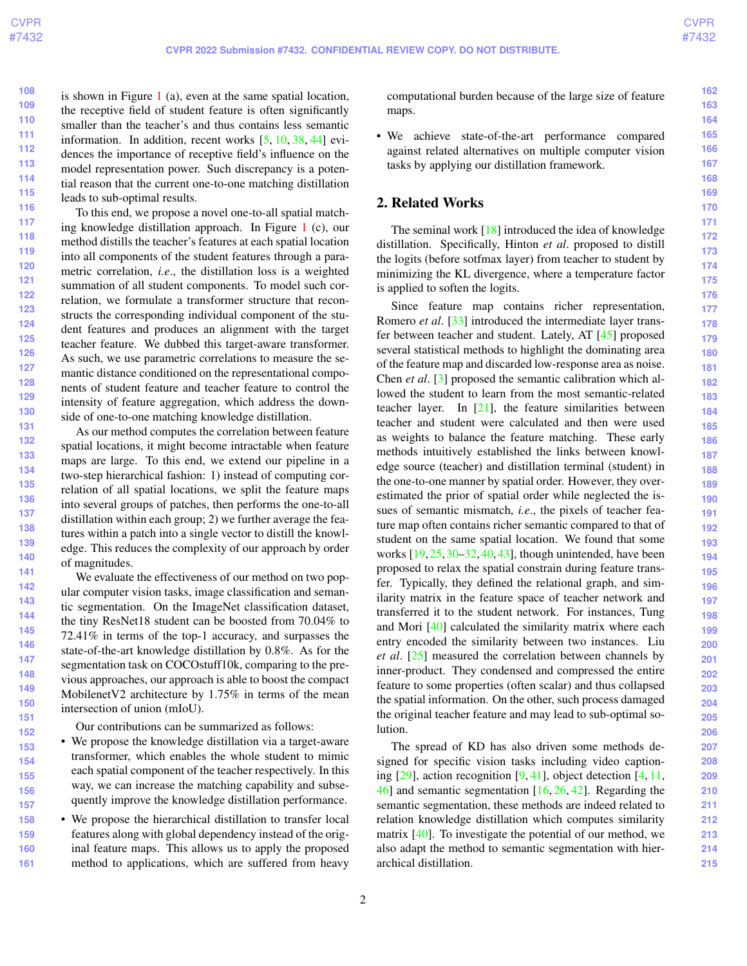**162**

<span id="page-1-0"></span>**108 109 110 111 112 113 114 115** is shown in Figure [1](#page-0-0) (a), even at the same spatial location, the receptive field of student feature is often significantly smaller than the teacher's and thus contains less semantic information. In addition, recent works [\[5,](#page-8-7) [10,](#page-8-8) [38,](#page-9-4) [44\]](#page-9-5) evidences the importance of receptive field's influence on the model representation power. Such discrepancy is a potential reason that the current one-to-one matching distillation leads to sub-optimal results.

**116 117 118 119 120 121 122 123 124 125 126 127 128 129 130 131** To this end, we propose a novel one-to-all spatial matching knowledge distillation approach. In Figure [1](#page-0-0) (c), our method distills the teacher's features at each spatial location into all components of the student features through a parametric correlation, *i.e*., the distillation loss is a weighted summation of all student components. To model such correlation, we formulate a transformer structure that reconstructs the corresponding individual component of the student features and produces an alignment with the target teacher feature. We dubbed this target-aware transformer. As such, we use parametric correlations to measure the semantic distance conditioned on the representational components of student feature and teacher feature to control the intensity of feature aggregation, which address the downside of one-to-one matching knowledge distillation.

**132 133 134 135 136 137 138 139 140 141** As our method computes the correlation between feature spatial locations, it might become intractable when feature maps are large. To this end, we extend our pipeline in a two-step hierarchical fashion: 1) instead of computing correlation of all spatial locations, we split the feature maps into several groups of patches, then performs the one-to-all distillation within each group; 2) we further average the features within a patch into a single vector to distill the knowledge. This reduces the complexity of our approach by order of magnitudes.

**142 143 144 145 146 147 148 149 150 151** We evaluate the effectiveness of our method on two popular computer vision tasks, image classification and semantic segmentation. On the ImageNet classification dataset, the tiny ResNet18 student can be boosted from 70.04% to 72.41% in terms of the top-1 accuracy, and surpasses the state-of-the-art knowledge distillation by 0.8%. As for the segmentation task on COCOstuff10k, comparing to the previous approaches, our approach is able to boost the compact MobilenetV2 architecture by 1.75% in terms of the mean intersection of union (mIoU).

Our contributions can be summarized as follows:

- **153 154 155 156 157** • We propose the knowledge distillation via a target-aware transformer, which enables the whole student to mimic each spatial component of the teacher respectively. In this way, we can increase the matching capability and subsequently improve the knowledge distillation performance.
- **158 159 160 161** • We propose the hierarchical distillation to transfer local features along with global dependency instead of the original feature maps. This allows us to apply the proposed method to applications, which are suffered from heavy

computational burden because of the large size of feature maps.

• We achieve state-of-the-art performance compared against related alternatives on multiple computer vision tasks by applying our distillation framework.

# 2. Related Works

The seminal work  $[18]$  introduced the idea of knowledge distillation. Specifically, Hinton *et al*. proposed to distill the logits (before sotfmax layer) from teacher to student by minimizing the KL divergence, where a temperature factor is applied to soften the logits.

Since feature map contains richer representation, Romero *et al*. [\[33\]](#page-9-2) introduced the intermediate layer transfer between teacher and student. Lately, AT [\[45\]](#page-9-3) proposed several statistical methods to highlight the dominating area of the feature map and discarded low-response area as noise. Chen *et al*. [\[3\]](#page-8-9) proposed the semantic calibration which allowed the student to learn from the most semantic-related teacher layer. In  $[21]$ , the feature similarities between teacher and student were calculated and then were used as weights to balance the feature matching. These early methods intuitively established the links between knowledge source (teacher) and distillation terminal (student) in the one-to-one manner by spatial order. However, they overestimated the prior of spatial order while neglected the issues of semantic mismatch, *i.e*., the pixels of teacher feature map often contains richer semantic compared to that of student on the same spatial location. We found that some works [\[19,](#page-8-10)[25,](#page-8-11)[30–](#page-9-6)[32,](#page-9-7)[40,](#page-9-8)[43\]](#page-9-1), though unintended, have been proposed to relax the spatial constrain during feature transfer. Typically, they defined the relational graph, and similarity matrix in the feature space of teacher network and transferred it to the student network. For instances, Tung and Mori [\[40\]](#page-9-8) calculated the similarity matrix where each entry encoded the similarity between two instances. Liu *et al*. [\[25\]](#page-8-11) measured the correlation between channels by inner-product. They condensed and compressed the entire feature to some properties (often scalar) and thus collapsed the spatial information. On the other, such process damaged the original teacher feature and may lead to sub-optimal solution.

The spread of KD has also driven some methods designed for specific vision tasks including video captioning  $[29]$ , action recognition  $[9, 41]$  $[9, 41]$  $[9, 41]$ , object detection  $[4, 11]$  $[4, 11]$ , [46\]](#page-9-10) and semantic segmentation [\[16,](#page-8-16) [26,](#page-8-17) [42\]](#page-9-11). Regarding the semantic segmentation, these methods are indeed related to relation knowledge distillation which computes similarity matrix [\[40\]](#page-9-8). To investigate the potential of our method, we also adapt the method to semantic segmentation with hierarchical distillation.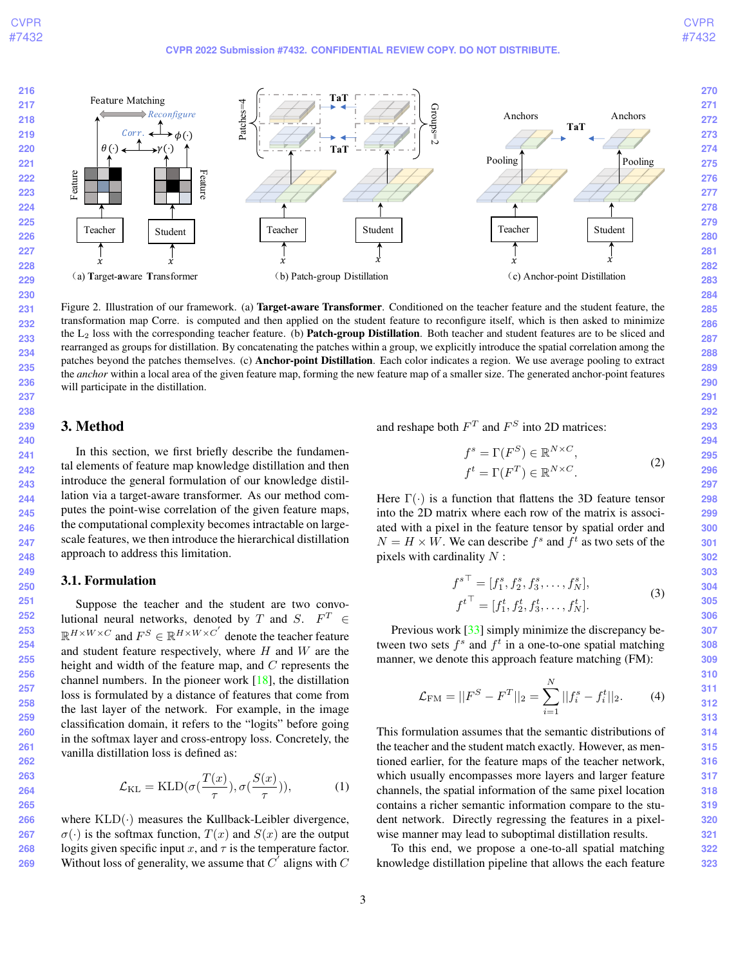<span id="page-2-2"></span><span id="page-2-0"></span>

Figure 2. Illustration of our framework. (a) Target-aware Transformer. Conditioned on the teacher feature and the student feature, the transformation map Corre. is computed and then applied on the student feature to reconfigure itself, which is then asked to minimize the L<sub>2</sub> loss with the corresponding teacher feature. (b) **Patch-group Distillation**. Both teacher and student features are to be sliced and rearranged as groups for distillation. By concatenating the patches within a group, we explicitly introduce the spatial correlation among the patches beyond the patches themselves. (c) Anchor-point Distillation. Each color indicates a region. We use average pooling to extract the *anchor* within a local area of the given feature map, forming the new feature map of a smaller size. The generated anchor-point features will participate in the distillation.

# 3. Method

In this section, we first briefly describe the fundamental elements of feature map knowledge distillation and then introduce the general formulation of our knowledge distillation via a target-aware transformer. As our method computes the point-wise correlation of the given feature maps, the computational complexity becomes intractable on largescale features, we then introduce the hierarchical distillation approach to address this limitation.

## <span id="page-2-1"></span>3.1. Formulation

Suppose the teacher and the student are two convolutional neural networks, denoted by T and S.  $F^T \in$  $\mathbb{R}^{H \times W \times C}$  and  $F^S \in \mathbb{R}^{H \times W \times C'}$  denote the teacher feature and student feature respectively, where  $H$  and  $W$  are the height and width of the feature map, and C represents the channel numbers. In the pioneer work [\[18\]](#page-8-0), the distillation loss is formulated by a distance of features that come from the last layer of the network. For example, in the image classification domain, it refers to the "logits" before going in the softmax layer and cross-entropy loss. Concretely, the vanilla distillation loss is defined as:

$$
\mathcal{L}_{\text{KL}} = \text{KLD}(\sigma(\frac{T(x)}{\tau}), \sigma(\frac{S(x)}{\tau})),\tag{1}
$$

**266 267 268 269** where  $KLD(\cdot)$  measures the Kullback-Leibler divergence,  $\sigma(\cdot)$  is the softmax function,  $T(x)$  and  $S(x)$  are the output logits given specific input x, and  $\tau$  is the temperature factor. Without loss of generality, we assume that  $C^{\prime}$  aligns with  $C$ 

and reshape both  $F<sup>T</sup>$  and  $F<sup>S</sup>$  into 2D matrices:

$$
f^s = \Gamma(F^S) \in \mathbb{R}^{N \times C},
$$
  
\n
$$
f^t = \Gamma(F^T) \in \mathbb{R}^{N \times C}.
$$
\n(2)

Here  $\Gamma(\cdot)$  is a function that flattens the 3D feature tensor into the 2D matrix where each row of the matrix is associated with a pixel in the feature tensor by spatial order and  $N = H \times W$ . We can describe  $f<sup>s</sup>$  and  $f<sup>t</sup>$  as two sets of the pixels with cardinality  $N$ :

$$
f^{s\top} = [f_1^s, f_2^s, f_3^s, \dots, f_N^s],
$$
\n(3)

$$
{f^t}^{\top} = [f_1^t, f_2^t, f_3^t, \dots, f_N^t].
$$

Previous work [\[33\]](#page-9-2) simply minimize the discrepancy between two sets  $f^s$  and  $f^t$  in a one-to-one spatial matching manner, we denote this approach feature matching (FM):

$$
\mathcal{L}_{\text{FM}} = ||F^S - F^T||_2 = \sum_{i=1}^N ||f_i^s - f_i^t||_2.
$$
 (4)

This formulation assumes that the semantic distributions of the teacher and the student match exactly. However, as mentioned earlier, for the feature maps of the teacher network, which usually encompasses more layers and larger feature channels, the spatial information of the same pixel location contains a richer semantic information compare to the student network. Directly regressing the features in a pixelwise manner may lead to suboptimal distillation results.

To this end, we propose a one-to-all spatial matching knowledge distillation pipeline that allows the each feature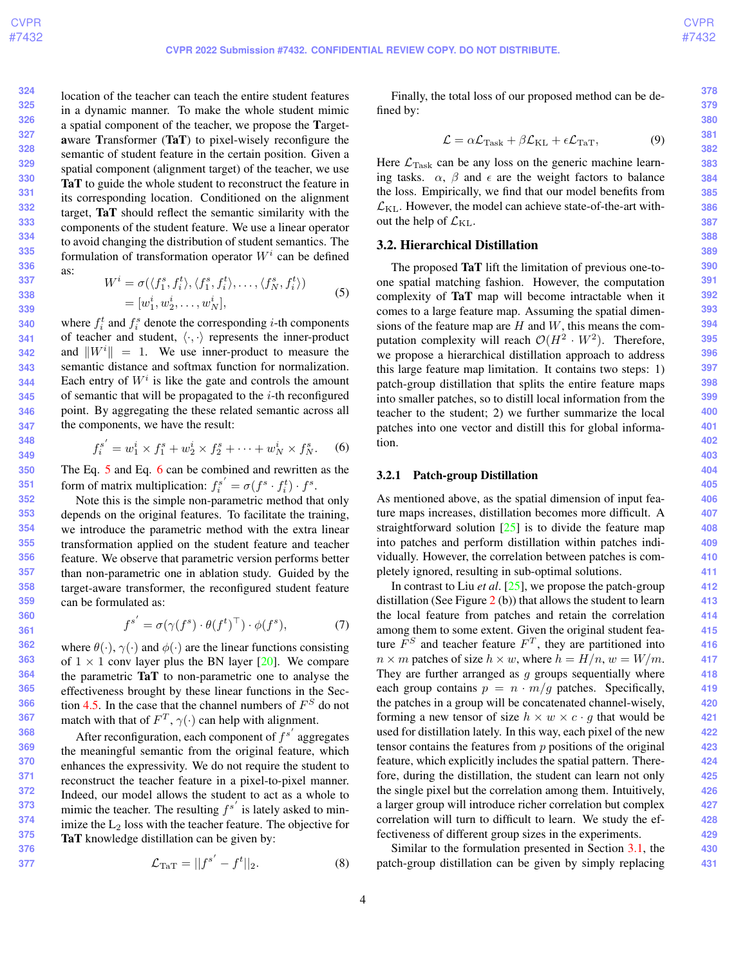**378 379 380**

<span id="page-3-5"></span>**324 325 326 327 328 329 330 331 332 333 334 335 336 337** location of the teacher can teach the entire student features in a dynamic manner. To make the whole student mimic a spatial component of the teacher, we propose the Targetaware Transformer (TaT) to pixel-wisely reconfigure the semantic of student feature in the certain position. Given a spatial component (alignment target) of the teacher, we use TaT to guide the whole student to reconstruct the feature in its corresponding location. Conditioned on the alignment target, TaT should reflect the semantic similarity with the components of the student feature. We use a linear operator to avoid changing the distribution of student semantics. The formulation of transformation operator  $W^i$  can be defined as:

<span id="page-3-0"></span>
$$
W^{i} = \sigma(\langle f_1^s, f_i^t \rangle, \langle f_1^s, f_i^t \rangle, \dots, \langle f_N^s, f_i^t \rangle)
$$
  
=  $[w_1^i, w_2^i, \dots, w_N^i],$  (5)

where  $f_i^t$  and  $f_i^s$  denote the corresponding *i*-th components of teacher and student,  $\langle \cdot, \cdot \rangle$  represents the inner-product and  $\|W^i\| = 1$ . We use inner-product to measure the semantic distance and softmax function for normalization. Each entry of  $W^i$  is like the gate and controls the amount of semantic that will be propagated to the  $i$ -th reconfigured point. By aggregating the these related semantic across all the components, we have the result:

<span id="page-3-1"></span>
$$
f_i^{s'} = w_1^i \times f_1^s + w_2^i \times f_2^s + \dots + w_N^i \times f_N^s.
$$
 (6)

The Eq. [5](#page-3-0) and Eq. [6](#page-3-1) can be combined and rewritten as the form of matrix multiplication:  $f_i^s$  $\sigma(f^s \cdot f_i^t) \cdot f^s.$ 

Note this is the simple non-parametric method that only depends on the original features. To facilitate the training, we introduce the parametric method with the extra linear transformation applied on the student feature and teacher feature. We observe that parametric version performs better than non-parametric one in ablation study. Guided by the target-aware transformer, the reconfigured student feature can be formulated as:

$$
f^{s'} = \sigma(\gamma(f^s) \cdot \theta(f^t)^\top) \cdot \phi(f^s), \tag{7}
$$

where  $\theta(\cdot)$ ,  $\gamma(\cdot)$  and  $\phi(\cdot)$  are the linear functions consisting of  $1 \times 1$  conv layer plus the BN layer [\[20\]](#page-8-18). We compare the parametric TaT to non-parametric one to analyse the effectiveness brought by these linear functions in the Sec-tion [4.5.](#page-6-0) In the case that the channel numbers of  $F<sup>S</sup>$  do not match with that of  $F^T$ ,  $\gamma(\cdot)$  can help with alignment.

After reconfiguration, each component of  $f^{s'}$  aggregates the meaningful semantic from the original feature, which enhances the expressivity. We do not require the student to reconstruct the teacher feature in a pixel-to-pixel manner. Indeed, our model allows the student to act as a whole to mimic the teacher. The resulting  $f^{s'}$  is lately asked to minimize the  $L_2$  loss with the teacher feature. The objective for TaT knowledge distillation can be given by:

<span id="page-3-4"></span>
$$
\mathcal{L}_{\text{TaT}} = ||f^{s'} - f^t||_2.
$$
 (8)

Finally, the total loss of our proposed method can be defined by:

<span id="page-3-2"></span>
$$
\mathcal{L} = \alpha \mathcal{L}_{\text{Task}} + \beta \mathcal{L}_{\text{KL}} + \epsilon \mathcal{L}_{\text{TaT}},\tag{9}
$$

Here  $\mathcal{L}_{\text{Task}}$  can be any loss on the generic machine learning tasks.  $\alpha$ ,  $\beta$  and  $\epsilon$  are the weight factors to balance the loss. Empirically, we find that our model benefits from  $\mathcal{L}_{\text{KL}}$ . However, the model can achieve state-of-the-art without the help of  $\mathcal{L}_{\text{KL}}$ .

# <span id="page-3-3"></span>3.2. Hierarchical Distillation

The proposed TaT lift the limitation of previous one-toone spatial matching fashion. However, the computation complexity of TaT map will become intractable when it comes to a large feature map. Assuming the spatial dimensions of the feature map are  $H$  and  $W$ , this means the computation complexity will reach  $\mathcal{O}(H^2 \cdot W^2)$ . Therefore, we propose a hierarchical distillation approach to address this large feature map limitation. It contains two steps: 1) patch-group distillation that splits the entire feature maps into smaller patches, so to distill local information from the teacher to the student; 2) we further summarize the local patches into one vector and distill this for global information.

## 3.2.1 Patch-group Distillation

As mentioned above, as the spatial dimension of input feature maps increases, distillation becomes more difficult. A straightforward solution  $[25]$  is to divide the feature map into patches and perform distillation within patches individually. However, the correlation between patches is completely ignored, resulting in sub-optimal solutions.

In contrast to Liu *et al*. [\[25\]](#page-8-11), we propose the patch-group distillation (See Figure  $2$  (b)) that allows the student to learn the local feature from patches and retain the correlation among them to some extent. Given the original student feature  $F<sup>S</sup>$  and teacher feature  $F<sup>T</sup>$ , they are partitioned into  $n \times m$  patches of size  $h \times w$ , where  $h = H/n$ ,  $w = W/m$ . They are further arranged as  $g$  groups sequentially where each group contains  $p = n \cdot m/g$  patches. Specifically, the patches in a group will be concatenated channel-wisely, forming a new tensor of size  $h \times w \times c \cdot q$  that would be used for distillation lately. In this way, each pixel of the new tensor contains the features from  $p$  positions of the original feature, which explicitly includes the spatial pattern. Therefore, during the distillation, the student can learn not only the single pixel but the correlation among them. Intuitively, a larger group will introduce richer correlation but complex correlation will turn to difficult to learn. We study the effectiveness of different group sizes in the experiments.

Similar to the formulation presented in Section [3.1,](#page-2-1) the patch-group distillation can be given by simply replacing

**389 390 391**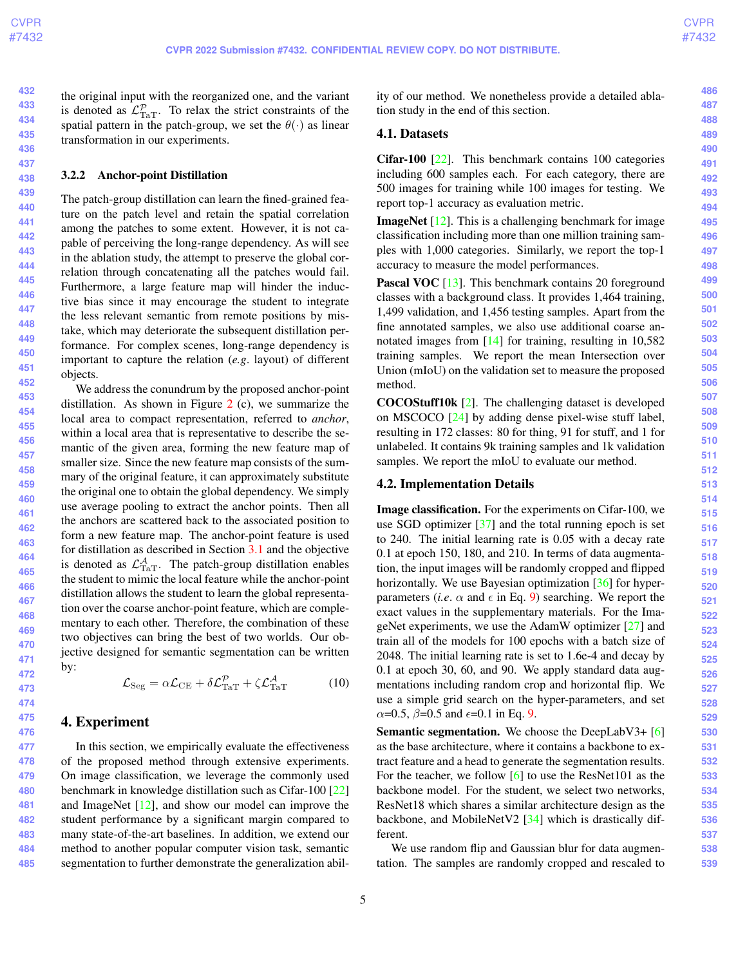<span id="page-4-0"></span>the original input with the reorganized one, and the variant is denoted as  $\mathcal{L}_{\text{TaT}}^{\mathcal{P}}$ . To relax the strict constraints of the spatial pattern in the patch-group, we set the  $\theta(\cdot)$  as linear transformation in our experiments.

#### 3.2.2 Anchor-point Distillation

The patch-group distillation can learn the fined-grained feature on the patch level and retain the spatial correlation among the patches to some extent. However, it is not capable of perceiving the long-range dependency. As will see in the ablation study, the attempt to preserve the global correlation through concatenating all the patches would fail. Furthermore, a large feature map will hinder the inductive bias since it may encourage the student to integrate the less relevant semantic from remote positions by mistake, which may deteriorate the subsequent distillation performance. For complex scenes, long-range dependency is important to capture the relation (*e.g*. layout) of different objects.

We address the conundrum by the proposed anchor-point distillation. As shown in Figure [2](#page-2-0) (c), we summarize the local area to compact representation, referred to *anchor*, within a local area that is representative to describe the semantic of the given area, forming the new feature map of smaller size. Since the new feature map consists of the summary of the original feature, it can approximately substitute the original one to obtain the global dependency. We simply use average pooling to extract the anchor points. Then all the anchors are scattered back to the associated position to form a new feature map. The anchor-point feature is used for distillation as described in Section [3.1](#page-2-1) and the objective is denoted as  $\mathcal{L}^{\mathcal{A}}_{\text{TaT}}$ . The patch-group distillation enables the student to mimic the local feature while the anchor-point distillation allows the student to learn the global representation over the coarse anchor-point feature, which are complementary to each other. Therefore, the combination of these two objectives can bring the best of two worlds. Our objective designed for semantic segmentation can be written by:

$$
\mathcal{L}_{\text{Seg}} = \alpha \mathcal{L}_{\text{CE}} + \delta \mathcal{L}_{\text{TaT}}^{\mathcal{P}} + \zeta \mathcal{L}_{\text{TaT}}^{\mathcal{A}}
$$
(10)

# 4. Experiment

**477 478 479 480 481 482 483 484 485** In this section, we empirically evaluate the effectiveness of the proposed method through extensive experiments. On image classification, we leverage the commonly used benchmark in knowledge distillation such as Cifar-100 [\[22\]](#page-8-19) and ImageNet [\[12\]](#page-8-20), and show our model can improve the student performance by a significant margin compared to many state-of-the-art baselines. In addition, we extend our method to another popular computer vision task, semantic segmentation to further demonstrate the generalization ability of our method. We nonetheless provide a detailed ablation study in the end of this section.

## 4.1. Datasets

Cifar-100 [\[22\]](#page-8-19). This benchmark contains 100 categories including 600 samples each. For each category, there are 500 images for training while 100 images for testing. We report top-1 accuracy as evaluation metric.

**ImageNet** [\[12\]](#page-8-20). This is a challenging benchmark for image classification including more than one million training samples with 1,000 categories. Similarly, we report the top-1 accuracy to measure the model performances.

Pascal VOC [\[13\]](#page-8-21). This benchmark contains 20 foreground classes with a background class. It provides 1,464 training, 1,499 validation, and 1,456 testing samples. Apart from the fine annotated samples, we also use additional coarse annotated images from [\[14\]](#page-8-22) for training, resulting in 10,582 training samples. We report the mean Intersection over Union (mIoU) on the validation set to measure the proposed method.

COCOStuff10k [\[2\]](#page-8-23). The challenging dataset is developed on MSCOCO [\[24\]](#page-8-24) by adding dense pixel-wise stuff label, resulting in 172 classes: 80 for thing, 91 for stuff, and 1 for unlabeled. It contains 9k training samples and 1k validation samples. We report the mIoU to evaluate our method.

## 4.2. Implementation Details

Image classification. For the experiments on Cifar-100, we use SGD optimizer [\[37\]](#page-9-12) and the total running epoch is set to 240. The initial learning rate is 0.05 with a decay rate 0.1 at epoch 150, 180, and 210. In terms of data augmentation, the input images will be randomly cropped and flipped horizontally. We use Bayesian optimization [\[36\]](#page-9-13) for hyperparameters (*i.e.*  $\alpha$  and  $\epsilon$  in Eq. [9\)](#page-3-2) searching. We report the exact values in the supplementary materials. For the ImageNet experiments, we use the AdamW optimizer [\[27\]](#page-8-25) and train all of the models for 100 epochs with a batch size of 2048. The initial learning rate is set to 1.6e-4 and decay by 0.1 at epoch 30, 60, and 90. We apply standard data augmentations including random crop and horizontal flip. We use a simple grid search on the hyper-parameters, and set  $\alpha$ =0.5,  $\beta$ =0.5 and  $\epsilon$ =0.1 in Eq. [9.](#page-3-2)

Semantic segmentation. We choose the DeepLabV3+ [\[6\]](#page-8-26) as the base architecture, where it contains a backbone to extract feature and a head to generate the segmentation results. For the teacher, we follow [\[6\]](#page-8-26) to use the ResNet101 as the backbone model. For the student, we select two networks, ResNet18 which shares a similar architecture design as the backbone, and MobileNetV2 [\[34\]](#page-9-14) which is drastically different.

We use random flip and Gaussian blur for data augmentation. The samples are randomly cropped and rescaled to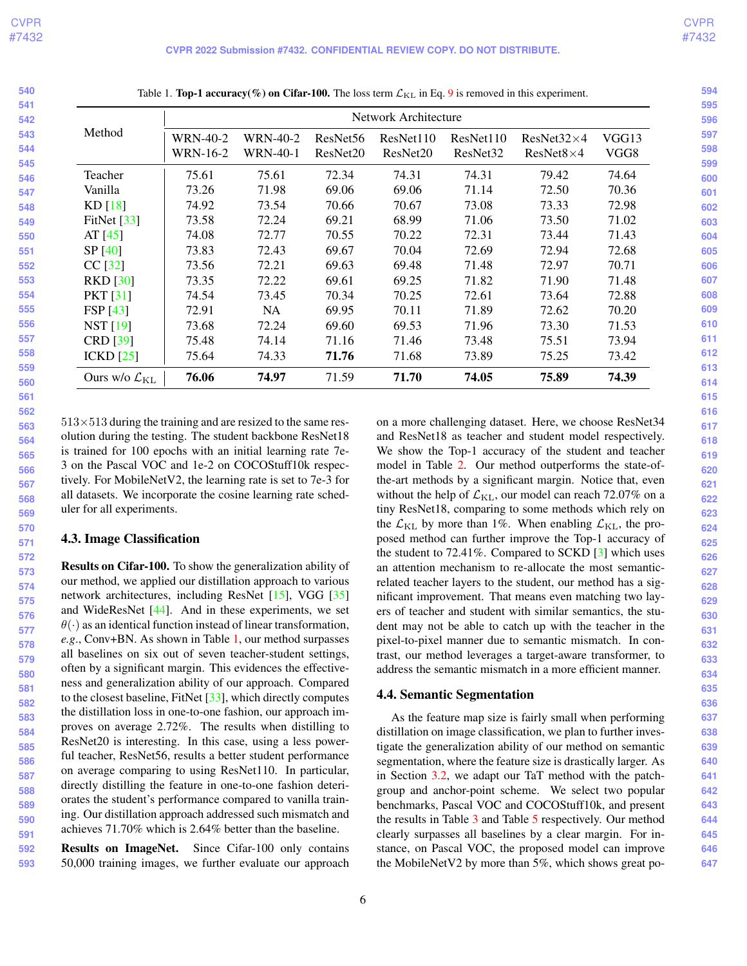| 540 |                        |
|-----|------------------------|
| 541 |                        |
| 542 |                        |
| 543 | Met                    |
| 544 |                        |
| 545 |                        |
| 546 | Tea                    |
| 547 | Van                    |
| 548 | <b>KD</b>              |
| 549 | FitN                   |
| 550 | AT                     |
| 551 | SP                     |
| 552 | CC                     |
| 553 | <b>RK</b>              |
| 554 | PK.                    |
| 555 | <b>FSF</b>             |
| 556 | NS <sup>-</sup>        |
| 557 | <b>CRI</b>             |
| 558 | <b>ICK</b>             |
| 559 |                        |
| 560 | Our                    |
| 561 |                        |
| 562 |                        |
| 563 | $513\times51$          |
| 564 | olution d              |
| 565 | is traine              |
| 566 | 3 on the<br>tively. Fo |
| 567 |                        |
| 568 | all datas              |
| 569 | uler for a             |
| 570 | 4.3. Ima               |
| 571 |                        |
| 572 | <b>Results</b>         |
| 573 | our meth               |
| 574 | network                |
| 575 | and Wid                |
| 576 | $\theta(\cdot)$ as ar  |
| 577 | e.g., Con              |
| 578 | all basel              |
| 579 | often by               |
| 580 | ness and               |
| 581 | $-41 - 1$              |

Table 1. Top-1 accuracy(%) on Cifar-100. The loss term  $\mathcal{L}_{\text{KL}}$  in Eq. [9](#page-3-2) is removed in this experiment.

<span id="page-5-1"></span><span id="page-5-0"></span>

|                                    | Network Architecture        |                             |                                  |                       |                                   |                                       |               |
|------------------------------------|-----------------------------|-----------------------------|----------------------------------|-----------------------|-----------------------------------|---------------------------------------|---------------|
| Method                             | <b>WRN-40-2</b><br>WRN-16-2 | <b>WRN-40-2</b><br>WRN-40-1 | ResNet <sub>56</sub><br>ResNet20 | ResNet110<br>ResNet20 | ResNet110<br>ResNet <sub>32</sub> | $ResNet32\times4$<br>$ResNet8\times4$ | VGG13<br>VGG8 |
| Teacher                            | 75.61                       | 75.61                       | 72.34                            | 74.31                 | 74.31                             | 79.42                                 | 74.64         |
| Vanilla                            | 73.26                       | 71.98                       | 69.06                            | 69.06                 | 71.14                             | 72.50                                 | 70.36         |
| KD[18]                             | 74.92                       | 73.54                       | 70.66                            | 70.67                 | 73.08                             | 73.33                                 | 72.98         |
| FitNet $[33]$                      | 73.58                       | 72.24                       | 69.21                            | 68.99                 | 71.06                             | 73.50                                 | 71.02         |
| AT $[45]$                          | 74.08                       | 72.77                       | 70.55                            | 70.22                 | 72.31                             | 73.44                                 | 71.43         |
| SP[40]                             | 73.83                       | 72.43                       | 69.67                            | 70.04                 | 72.69                             | 72.94                                 | 72.68         |
| $CC$ [32]                          | 73.56                       | 72.21                       | 69.63                            | 69.48                 | 71.48                             | 72.97                                 | 70.71         |
| <b>RKD</b> [30]                    | 73.35                       | 72.22                       | 69.61                            | 69.25                 | 71.82                             | 71.90                                 | 71.48         |
| <b>PKT</b> [31]                    | 74.54                       | 73.45                       | 70.34                            | 70.25                 | 72.61                             | 73.64                                 | 72.88         |
| <b>FSP</b> [43]                    | 72.91                       | NA.                         | 69.95                            | 70.11                 | 71.89                             | 72.62                                 | 70.20         |
| NST [19]                           | 73.68                       | 72.24                       | 69.60                            | 69.53                 | 71.96                             | 73.30                                 | 71.53         |
| <b>CRD</b> [39]                    | 75.48                       | 74.14                       | 71.16                            | 71.46                 | 73.48                             | 75.51                                 | 73.94         |
| ICKD [25]                          | 75.64                       | 74.33                       | 71.76                            | 71.68                 | 73.89                             | 75.25                                 | 73.42         |
| Ours w/o $\mathcal{L}_{\text{KL}}$ | 76.06                       | 74.97                       | 71.59                            | 71.70                 | 74.05                             | 75.89                                 | 74.39         |

3 during the training and are resized to the same resluring the testing. The student backbone ResNet18 d for 100 epochs with an initial learning rate 7e-Pascal VOC and 1e-2 on COCOStuff10k respecor MobileNetV2, the learning rate is set to 7e-3 for ets. We incorporate the cosine learning rate schedall experiments.

## age Classification

on Cifar-100. To show the generalization ability of od, we applied our distillation approach to various architectures, including ResNet  $[15]$ , VGG  $[35]$  $e$ ResNet  $[44]$ . And in these experiments, we set n identical function instead of linear transformation, *e.g.* W at No. As shown in Table [1,](#page-5-0) our method surpasses lines on six out of seven teacher-student settings, a significant margin. This evidences the effectivegeneralization ability of our approach. Compared to the closest baseline, FitNet [\[33\]](#page-9-2), which directly computes the distillation loss in one-to-one fashion, our approach improves on average 2.72%. The results when distilling to ResNet20 is interesting. In this case, using a less powerful teacher, ResNet56, results a better student performance on average comparing to using ResNet110. In particular, directly distilling the feature in one-to-one fashion deteriorates the student's performance compared to vanilla training. Our distillation approach addressed such mismatch and achieves 71.70% which is 2.64% better than the baseline.

**592 593** Results on ImageNet. Since Cifar-100 only contains 50,000 training images, we further evaluate our approach on a more challenging dataset. Here, we choose ResNet34 and ResNet18 as teacher and student model respectively. We show the Top-1 accuracy of the student and teacher model in Table [2.](#page-6-1) Our method outperforms the state-ofthe-art methods by a significant margin. Notice that, even without the help of  $\mathcal{L}_{\text{KL}}$ , our model can reach 72.07% on a tiny ResNet18, comparing to some methods which rely on the  $\mathcal{L}_{\text{KL}}$  by more than 1%. When enabling  $\mathcal{L}_{\text{KL}}$ , the proposed method can further improve the Top-1 accuracy of the student to 72.41%. Compared to SCKD [\[3\]](#page-8-9) which uses an attention mechanism to re-allocate the most semanticrelated teacher layers to the student, our method has a significant improvement. That means even matching two layers of teacher and student with similar semantics, the student may not be able to catch up with the teacher in the pixel-to-pixel manner due to semantic mismatch. In contrast, our method leverages a target-aware transformer, to address the semantic mismatch in a more efficient manner.

## 4.4. Semantic Segmentation

As the feature map size is fairly small when performing distillation on image classification, we plan to further investigate the generalization ability of our method on semantic segmentation, where the feature size is drastically larger. As in Section [3.2,](#page-3-3) we adapt our TaT method with the patchgroup and anchor-point scheme. We select two popular benchmarks, Pascal VOC and COCOStuff10k, and present the results in Table [3](#page-6-2) and Table [5](#page-6-3) respectively. Our method clearly surpasses all baselines by a clear margin. For instance, on Pascal VOC, the proposed model can improve the MobileNetV2 by more than 5%, which shows great po-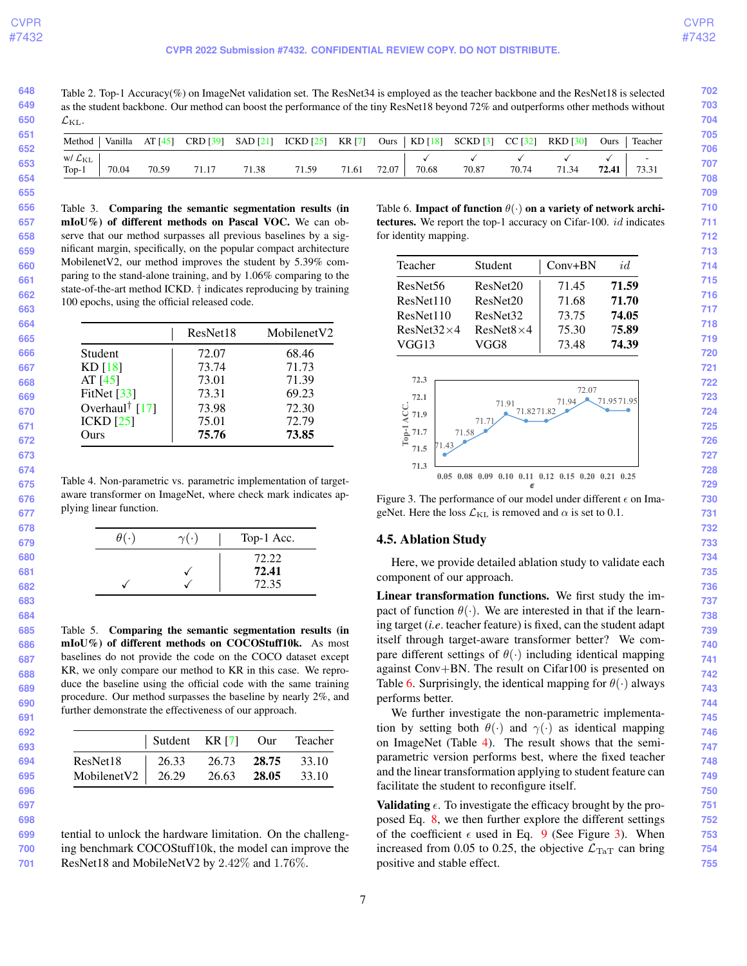$\mathcal{L}_{\text{KL}}$ .

<span id="page-6-7"></span><span id="page-6-1"></span>Table 2. Top-1 Accuracy(%) on ImageNet validation set. The ResNet34 is employed as the teacher backbone and the ResNet18 is selected as the student backbone. Our method can boost the performance of the tiny ResNet18 beyond 72% and outperforms other methods without Method | Vanilla AT [\[45\]](#page-9-3) CRD [\[39\]](#page-9-0) SAD [\[21\]](#page-8-6) ICKD [\[25\]](#page-8-11) KR [\[7\]](#page-8-5) Ours | KD [\[18\]](#page-8-0) SCKD [\[3\]](#page-8-9) CC [\[32\]](#page-9-7) RKD [\[30\]](#page-9-6) Ours | Teacher

| Method                         |       |       |       |       | vanilla Al [45] CKD [39] SAD [21] ICKD [25] KK [7] OUIS   KD [18] SCKD [3] CC [32] KKD [30] |       |         |       |       |       |       |       | <b>Uurs</b> leacher |
|--------------------------------|-------|-------|-------|-------|---------------------------------------------------------------------------------------------|-------|---------|-------|-------|-------|-------|-------|---------------------|
| w/ $\mathcal{L}_{\mathrm{KL}}$ |       |       |       |       |                                                                                             |       |         |       |       |       |       |       |                     |
| $Top-1$                        | 70.04 | 70.59 | 71.17 | 71.38 | 71.59                                                                                       | 71.61 | 72.07 l | 70.68 | 70.87 | 70.74 | 71.34 | 72.41 | 73.31               |

<span id="page-6-2"></span>Table 3. Comparing the semantic segmentation results (in mIoU%) of different methods on Pascal VOC. We can observe that our method surpasses all previous baselines by a significant margin, specifically, on the popular compact architecture MobilenetV2, our method improves the student by 5.39% comparing to the stand-alone training, and by 1.06% comparing to the state-of-the-art method ICKD. † indicates reproducing by training 100 epochs, using the official released code.

|                            | ResNet18 | Mobilenet <sub>V2</sub> |
|----------------------------|----------|-------------------------|
| Student                    | 72.07    | 68.46                   |
| KD [18]                    | 73.74    | 71.73                   |
| AT $[45]$                  | 73.01    | 71.39                   |
| FitNet $[33]$              | 73.31    | 69.23                   |
| Overhaul <sup>†</sup> [17] | 73.98    | 72.30                   |
| ICKD [25]                  | 75.01    | 72.79                   |
| Ours                       | 75.76    | 73.85                   |

<span id="page-6-5"></span>Table 4. Non-parametric vs. parametric implementation of targetaware transformer on ImageNet, where check mark indicates applying linear function.

| $\theta$ ( $\cdot$<br>Top-1 Acc.<br>$\gamma(\cdot)$<br>72.22<br>72.41<br>72.35 |  |  |  |
|--------------------------------------------------------------------------------|--|--|--|
|                                                                                |  |  |  |
|                                                                                |  |  |  |

<span id="page-6-3"></span>Table 5. Comparing the semantic segmentation results (in mIoU%) of different methods on COCOStuff10k. As most baselines do not provide the code on the COCO dataset except KR, we only compare our method to KR in this case. We reproduce the baseline using the official code with the same training procedure. Our method surpasses the baseline by nearly 2%, and further demonstrate the effectiveness of our approach.

|                       | Sutdent KR [7] Our Teacher |       |       |       |
|-----------------------|----------------------------|-------|-------|-------|
| ResNet18              | 26.33                      | 26.73 | 28.75 | 33.10 |
| MobilenetV2   $26.29$ |                            | 26.63 | 28.05 | 33.10 |

tential to unlock the hardware limitation. On the challenging benchmark COCOStuff10k, the model can improve the ResNet18 and MobileNetV2 by 2.42% and 1.76%.

<span id="page-6-4"></span>Table 6. Impact of function  $\theta(\cdot)$  on a variety of network architectures. We report the top-1 accuracy on Cifar-100. *id* indicates for identity mapping.

| Teacher              | Student              | $Conv+BN$ | id    |
|----------------------|----------------------|-----------|-------|
| ResNet <sub>56</sub> | ResNet20             | 71.45     | 71.59 |
| ResNet110            | ResNet20             | 71.68     | 71.70 |
| ResNet110            | ResNet <sub>32</sub> | 73.75     | 74.05 |
| $ResNet32\times4$    | $ResNet8\times4$     | 75.30     | 75.89 |
| VGG13                | VGG8                 | 73.48     | 74.39 |

<span id="page-6-6"></span>

Figure 3. The performance of our model under different  $\epsilon$  on ImageNet. Here the loss  $\mathcal{L}_{\text{KL}}$  is removed and  $\alpha$  is set to 0.1.

## <span id="page-6-0"></span>4.5. Ablation Study

Here, we provide detailed ablation study to validate each component of our approach.

Linear transformation functions. We first study the impact of function  $\theta(\cdot)$ . We are interested in that if the learning target (*i.e*. teacher feature) is fixed, can the student adapt itself through target-aware transformer better? We compare different settings of  $\theta(\cdot)$  including identical mapping against Conv+BN. The result on Cifar100 is presented on Table [6.](#page-6-4) Surprisingly, the identical mapping for  $\theta(\cdot)$  always performs better.

We further investigate the non-parametric implementation by setting both  $\theta(\cdot)$  and  $\gamma(\cdot)$  as identical mapping on ImageNet (Table [4\)](#page-6-5). The result shows that the semiparametric version performs best, where the fixed teacher and the linear transformation applying to student feature can facilitate the student to reconfigure itself.

**Validating**  $\epsilon$ . To investigate the efficacy brought by the proposed Eq. [8,](#page-3-4) we then further explore the different settings of the coefficient  $\epsilon$  used in Eq. [9](#page-3-2) (See Figure [3\)](#page-6-6). When increased from 0.05 to 0.25, the objective  $\mathcal{L}_{\text{TaT}}$  can bring positive and stable effect.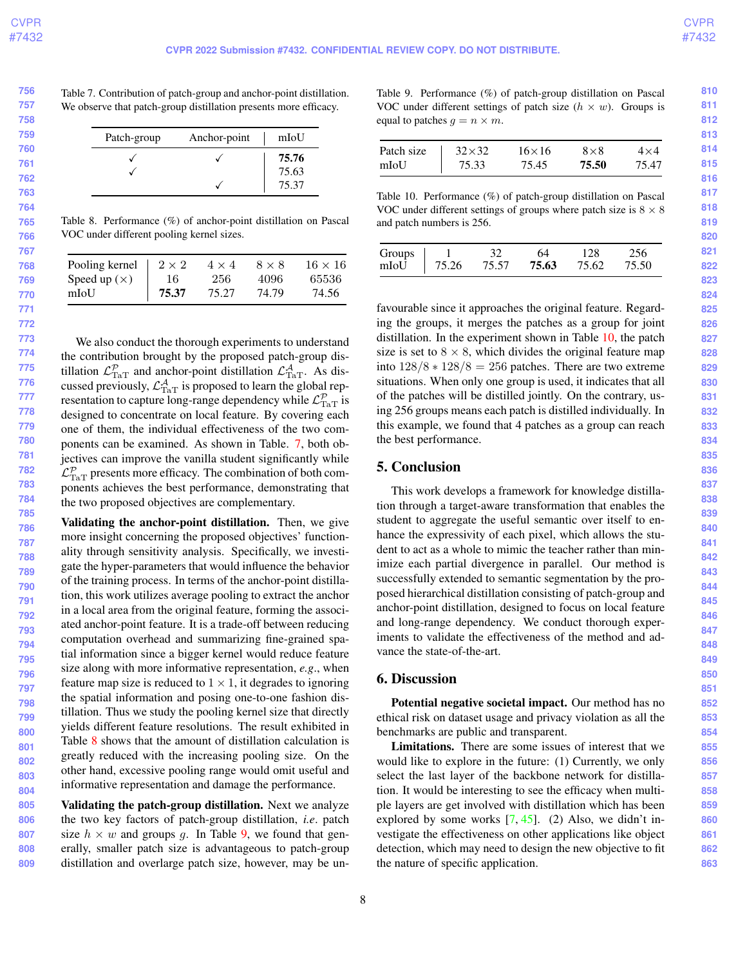| 756 | Table                                                 |
|-----|-------------------------------------------------------|
| 757 | We o                                                  |
| 758 |                                                       |
| 759 |                                                       |
| 760 |                                                       |
| 761 |                                                       |
| 762 |                                                       |
| 763 |                                                       |
| 764 |                                                       |
| 765 | Table                                                 |
| 766 | VOC                                                   |
| 767 |                                                       |
| 768 | Poo                                                   |
| 769 | Spe                                                   |
| 770 | mIo                                                   |
| 771 |                                                       |
| 772 |                                                       |
| 773 | W                                                     |
| 774 | the c                                                 |
| 775 | tillat                                                |
| 776 | cuss                                                  |
| 777 | reser                                                 |
| 778 | desig                                                 |
| 779 | one                                                   |
| 780 | pone                                                  |
| 781 | jecti                                                 |
| 782 | $\mathcal{L}^{\mathcal{P}}_{\text{Ta}^{\mathcal{T}}}$ |
| 783 | pone                                                  |
| 784 | the t                                                 |
| 785 |                                                       |
| 786 | Valio                                                 |
| 787 | more                                                  |
| 788 | ality                                                 |
| 789 | gate                                                  |
| 790 | of th                                                 |
| 791 | tion,                                                 |
| 792 | in a l                                                |
| 793 | ated                                                  |
| 794 | com                                                   |
| 795 | tial i                                                |
| 796 | size                                                  |
| 797 | featu                                                 |
| 798 | the s                                                 |
|     |                                                       |

<span id="page-7-4"></span><span id="page-7-0"></span> $\approx$  7. Contribution of patch-group and anchor-point distillation. bbserve that patch-group distillation presents more efficacy.

| Patch-group | Anchor-point | mIoU  |
|-------------|--------------|-------|
|             |              | 75.76 |
|             |              | 75.63 |
|             |              | 75.37 |

<span id="page-7-1"></span> $28.$  Performance  $(\%)$  of anchor-point distillation on Pascal under different pooling kernel sizes.

| Pooling kernel | $2 \times 2$ | $4 \times 4$ | $8 \times 8$ | $16 \times 16$ |
|----------------|--------------|--------------|--------------|----------------|
| Speed up $(x)$ | 16           | 256          | 4096         | 65536          |
| mIoU           | 75.37        | 75.27        | 74.79        | 74.56          |

We also conduct the thorough experiments to understand contribution brought by the proposed patch-group distillation  $\mathcal{L}_{\text{TaT}}^{\mathcal{P}}$  and anchor-point distillation  $\mathcal{L}_{\text{TaT}}^{\mathcal{A}}$ . As discussed previously,  $\mathcal{L}^{\mathcal{A}}_{\text{TaT}}$  is proposed to learn the global representation to capture long-range dependency while  $\mathcal{L}^{\mathcal{P} }_{\operatorname{TaT}}$  is gned to concentrate on local feature. By covering each of them, the individual effectiveness of the two com-ents can be examined. As shown in Table. [7,](#page-7-0) both obves can improve the vanilla student significantly while  $_{\text{F}}$  presents more efficacy. The combination of both coments achieves the best performance, demonstrating that wo proposed objectives are complementary.

**799 800 801 802 803 804** dating the anchor-point distillation. Then, we give e insight concerning the proposed objectives' functionthrough sensitivity analysis. Specifically, we investithe hyper-parameters that would influence the behavior e training process. In terms of the anchor-point distillathis work utilizes average pooling to extract the anchor local area from the original feature, forming the associanchor-point feature. It is a trade-off between reducing putation overhead and summarizing fine-grained spainformation since a bigger kernel would reduce feature along with more informative representation, *e.g.*, when Figure map size is reduced to  $1 \times 1$ , it degrades to ignoring patial information and posing one-to-one fashion distillation. Thus we study the pooling kernel size that directly yields different feature resolutions. The result exhibited in Table [8](#page-7-1) shows that the amount of distillation calculation is greatly reduced with the increasing pooling size. On the other hand, excessive pooling range would omit useful and informative representation and damage the performance.

**805 806 807 808 809** Validating the patch-group distillation. Next we analyze the two key factors of patch-group distillation, *i.e*. patch size  $h \times w$  and groups g. In Table [9,](#page-7-2) we found that generally, smaller patch size is advantageous to patch-group distillation and overlarge patch size, however, may be un<span id="page-7-2"></span>Table 9. Performance (%) of patch-group distillation on Pascal VOC under different settings of patch size  $(h \times w)$ . Groups is equal to patches  $q = n \times m$ .

| Patch size | $32\times32$ | $16\times 16$ | $8\times8$ | $4\times4$ |
|------------|--------------|---------------|------------|------------|
| mIoU       | 75.33        | 75.45         | 75.50      | 75.47      |

<span id="page-7-3"></span>Table 10. Performance (%) of patch-group distillation on Pascal VOC under different settings of groups where patch size is  $8 \times 8$ and patch numbers is 256.

| Groups 1 32 64 128 256<br>mIoU 75.26 75.57 <b>75.63</b> 75.62 75.50 |  |  |
|---------------------------------------------------------------------|--|--|

favourable since it approaches the original feature. Regarding the groups, it merges the patches as a group for joint distillation. In the experiment shown in Table [10,](#page-7-3) the patch size is set to  $8 \times 8$ , which divides the original feature map into  $128/8 \times 128/8 = 256$  patches. There are two extreme situations. When only one group is used, it indicates that all of the patches will be distilled jointly. On the contrary, using 256 groups means each patch is distilled individually. In this example, we found that 4 patches as a group can reach the best performance.

# 5. Conclusion

This work develops a framework for knowledge distillation through a target-aware transformation that enables the student to aggregate the useful semantic over itself to enhance the expressivity of each pixel, which allows the student to act as a whole to mimic the teacher rather than minimize each partial divergence in parallel. Our method is successfully extended to semantic segmentation by the proposed hierarchical distillation consisting of patch-group and anchor-point distillation, designed to focus on local feature and long-range dependency. We conduct thorough experiments to validate the effectiveness of the method and advance the state-of-the-art.

# 6. Discussion

Potential negative societal impact. Our method has no ethical risk on dataset usage and privacy violation as all the benchmarks are public and transparent.

Limitations. There are some issues of interest that we would like to explore in the future: (1) Currently, we only select the last layer of the backbone network for distillation. It would be interesting to see the efficacy when multiple layers are get involved with distillation which has been explored by some works  $[7, 45]$  $[7, 45]$  $[7, 45]$ . (2) Also, we didn't investigate the effectiveness on other applications like object detection, which may need to design the new objective to fit the nature of specific application.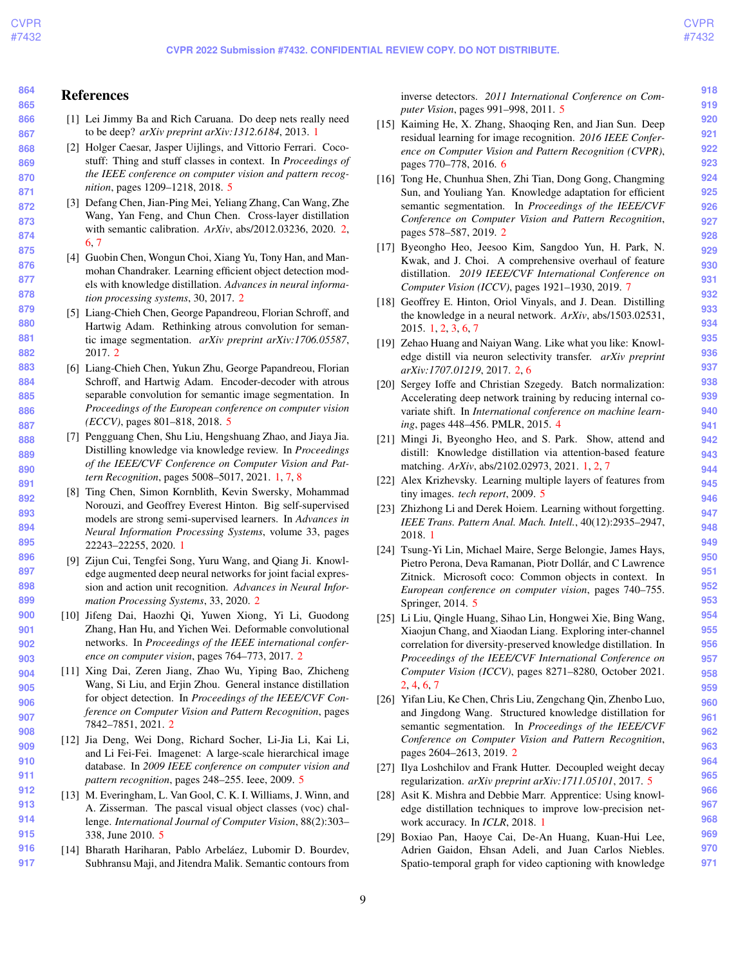**903**

**918 919**

#### **864 865** References

- <span id="page-8-4"></span>[1] Lei Jimmy Ba and Rich Caruana. Do deep nets really need to be deep? *arXiv preprint arXiv:1312.6184*, 2013. [1](#page-0-1)
- <span id="page-8-23"></span>[2] Holger Caesar, Jasper Uijlings, and Vittorio Ferrari. Cocostuff: Thing and stuff classes in context. In *Proceedings of the IEEE conference on computer vision and pattern recognition*, pages 1209–1218, 2018. [5](#page-4-0)
- <span id="page-8-9"></span>[3] Defang Chen, Jian-Ping Mei, Yeliang Zhang, Can Wang, Zhe Wang, Yan Feng, and Chun Chen. Cross-layer distillation with semantic calibration. *ArXiv*, abs/2012.03236, 2020. [2,](#page-1-0) [6,](#page-5-1) [7](#page-6-7)
- <span id="page-8-14"></span>[4] Guobin Chen, Wongun Choi, Xiang Yu, Tony Han, and Manmohan Chandraker. Learning efficient object detection models with knowledge distillation. *Advances in neural information processing systems*, 30, 2017. [2](#page-1-0)
- <span id="page-8-7"></span>[5] Liang-Chieh Chen, George Papandreou, Florian Schroff, and Hartwig Adam. Rethinking atrous convolution for semantic image segmentation. *arXiv preprint arXiv:1706.05587*, 2017. [2](#page-1-0)
- <span id="page-8-26"></span>[6] Liang-Chieh Chen, Yukun Zhu, George Papandreou, Florian Schroff, and Hartwig Adam. Encoder-decoder with atrous separable convolution for semantic image segmentation. In *Proceedings of the European conference on computer vision (ECCV)*, pages 801–818, 2018. [5](#page-4-0)
- <span id="page-8-5"></span>[7] Pengguang Chen, Shu Liu, Hengshuang Zhao, and Jiaya Jia. Distilling knowledge via knowledge review. In *Proceedings of the IEEE/CVF Conference on Computer Vision and Pattern Recognition*, pages 5008–5017, 2021. [1,](#page-0-1) [7,](#page-6-7) [8](#page-7-4)
- <span id="page-8-3"></span>[8] Ting Chen, Simon Kornblith, Kevin Swersky, Mohammad Norouzi, and Geoffrey Everest Hinton. Big self-supervised models are strong semi-supervised learners. In *Advances in Neural Information Processing Systems*, volume 33, pages 22243–22255, 2020. [1](#page-0-1)
- <span id="page-8-13"></span>[9] Zijun Cui, Tengfei Song, Yuru Wang, and Qiang Ji. Knowledge augmented deep neural networks for joint facial expression and action unit recognition. *Advances in Neural Information Processing Systems*, 33, 2020. [2](#page-1-0)
- <span id="page-8-8"></span>**901 902** [10] Jifeng Dai, Haozhi Qi, Yuwen Xiong, Yi Li, Guodong Zhang, Han Hu, and Yichen Wei. Deformable convolutional networks. In *Proceedings of the IEEE international conference on computer vision*, pages 764–773, 2017. [2](#page-1-0)
- <span id="page-8-15"></span>**904 905 906 907 908** [11] Xing Dai, Zeren Jiang, Zhao Wu, Yiping Bao, Zhicheng Wang, Si Liu, and Erjin Zhou. General instance distillation for object detection. In *Proceedings of the IEEE/CVF Conference on Computer Vision and Pattern Recognition*, pages 7842–7851, 2021. [2](#page-1-0)
- <span id="page-8-20"></span>**909 910 911** [12] Jia Deng, Wei Dong, Richard Socher, Li-Jia Li, Kai Li, and Li Fei-Fei. Imagenet: A large-scale hierarchical image database. In *2009 IEEE conference on computer vision and pattern recognition*, pages 248–255. Ieee, 2009. [5](#page-4-0)
- <span id="page-8-21"></span>**912 913 914 915** [13] M. Everingham, L. Van Gool, C. K. I. Williams, J. Winn, and A. Zisserman. The pascal visual object classes (voc) challenge. *International Journal of Computer Vision*, 88(2):303– 338, June 2010. [5](#page-4-0)
- <span id="page-8-22"></span>**916 917** [14] Bharath Hariharan, Pablo Arbeláez, Lubomir D. Bourdev, Subhransu Maji, and Jitendra Malik. Semantic contours from

inverse detectors. *2011 International Conference on Computer Vision*, pages 991–998, 2011. [5](#page-4-0)

- <span id="page-8-27"></span>[15] Kaiming He, X. Zhang, Shaoqing Ren, and Jian Sun. Deep residual learning for image recognition. *2016 IEEE Conference on Computer Vision and Pattern Recognition (CVPR)*, pages 770–778, 2016. [6](#page-5-1)
- <span id="page-8-16"></span>[16] Tong He, Chunhua Shen, Zhi Tian, Dong Gong, Changming Sun, and Youliang Yan. Knowledge adaptation for efficient semantic segmentation. In *Proceedings of the IEEE/CVF Conference on Computer Vision and Pattern Recognition*, pages 578–587, 2019. [2](#page-1-0)
- <span id="page-8-28"></span>[17] Byeongho Heo, Jeesoo Kim, Sangdoo Yun, H. Park, N. Kwak, and J. Choi. A comprehensive overhaul of feature distillation. *2019 IEEE/CVF International Conference on Computer Vision (ICCV)*, pages 1921–1930, 2019. [7](#page-6-7)
- <span id="page-8-0"></span>[18] Geoffrey E. Hinton, Oriol Vinyals, and J. Dean. Distilling the knowledge in a neural network. *ArXiv*, abs/1503.02531, 2015. [1,](#page-0-1) [2,](#page-1-0) [3,](#page-2-2) [6,](#page-5-1) [7](#page-6-7)
- <span id="page-8-10"></span>[19] Zehao Huang and Naiyan Wang. Like what you like: Knowledge distill via neuron selectivity transfer. *arXiv preprint arXiv:1707.01219*, 2017. [2,](#page-1-0) [6](#page-5-1)
- <span id="page-8-18"></span>[20] Sergey Ioffe and Christian Szegedy. Batch normalization: Accelerating deep network training by reducing internal covariate shift. In *International conference on machine learning*, pages 448–456. PMLR, 2015. [4](#page-3-5)
- <span id="page-8-6"></span>[21] Mingi Ji, Byeongho Heo, and S. Park. Show, attend and distill: Knowledge distillation via attention-based feature matching. *ArXiv*, abs/2102.02973, 2021. [1,](#page-0-1) [2,](#page-1-0) [7](#page-6-7)
- <span id="page-8-19"></span>[22] Alex Krizhevsky. Learning multiple layers of features from tiny images. *tech report*, 2009. [5](#page-4-0)
- <span id="page-8-2"></span>[23] Zhizhong Li and Derek Hoiem. Learning without forgetting. *IEEE Trans. Pattern Anal. Mach. Intell.*, 40(12):2935–2947, 2018. [1](#page-0-1)
- <span id="page-8-24"></span>[24] Tsung-Yi Lin, Michael Maire, Serge Belongie, James Hays, Pietro Perona, Deva Ramanan, Piotr Dollár, and C Lawrence Zitnick. Microsoft coco: Common objects in context. In *European conference on computer vision*, pages 740–755. Springer, 2014. [5](#page-4-0)
- <span id="page-8-11"></span>[25] Li Liu, Qingle Huang, Sihao Lin, Hongwei Xie, Bing Wang, Xiaojun Chang, and Xiaodan Liang. Exploring inter-channel correlation for diversity-preserved knowledge distillation. In *Proceedings of the IEEE/CVF International Conference on Computer Vision (ICCV)*, pages 8271–8280, October 2021. [2,](#page-1-0) [4,](#page-3-5) [6,](#page-5-1) [7](#page-6-7)
- <span id="page-8-17"></span>[26] Yifan Liu, Ke Chen, Chris Liu, Zengchang Qin, Zhenbo Luo, and Jingdong Wang. Structured knowledge distillation for semantic segmentation. In *Proceedings of the IEEE/CVF Conference on Computer Vision and Pattern Recognition*, pages 2604–2613, 2019. [2](#page-1-0)
- <span id="page-8-25"></span>[27] Ilya Loshchilov and Frank Hutter. Decoupled weight decay regularization. *arXiv preprint arXiv:1711.05101*, 2017. [5](#page-4-0)
- <span id="page-8-1"></span>[28] Asit K. Mishra and Debbie Marr. Apprentice: Using knowledge distillation techniques to improve low-precision network accuracy. In *ICLR*, 2018. [1](#page-0-1)
- <span id="page-8-12"></span>[29] Boxiao Pan, Haoye Cai, De-An Huang, Kuan-Hui Lee, Adrien Gaidon, Ehsan Adeli, and Juan Carlos Niebles. Spatio-temporal graph for video captioning with knowledge